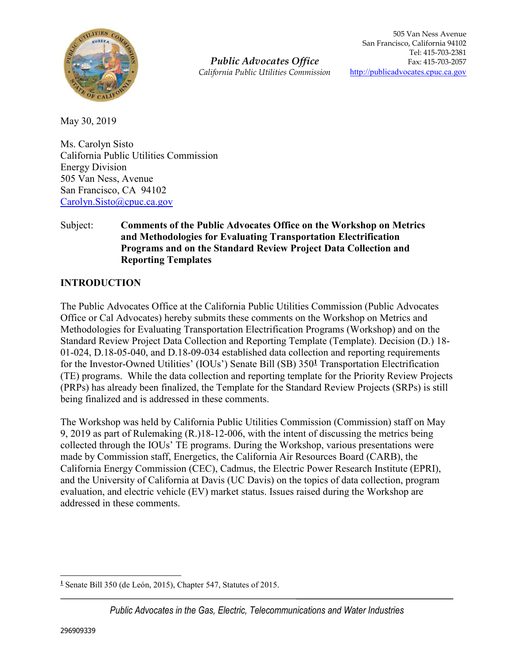

*Public Advocates Office California Public Utilities Commission*

May 30, 2019

Ms. Carolyn Sisto California Public Utilities Commission Energy Division 505 Van Ness, Avenue San Francisco, CA 94102 Carolyn.Sisto@cpuc.ca.gov

#### Subject: **Comments of the Public Advocates Office on the Workshop on Metrics and Methodologies for Evaluating Transportation Electrification Programs and on the Standard Review Project Data Collection and Reporting Templates**

## **INTRODUCTION**

The Public Advocates Office at the California Public Utilities Commission (Public Advocates Office or Cal Advocates) hereby submits these comments on the Workshop on Metrics and Methodologies for Evaluating Transportation Electrification Programs (Workshop) and on the Standard Review Project Data Collection and Reporting Template (Template). Decision (D.) 18- 01-024, D.18-05-040, and D.18-09-034 established data collection and reporting requirements for the Investor-Owned Utilities' (IOUs') Senate Bill (SB) 350**<sup>1</sup>** Transportation Electrification (TE) programs. While the data collection and reporting template for the Priority Review Projects (PRPs) has already been finalized, the Template for the Standard Review Projects (SRPs) is still being finalized and is addressed in these comments.

The Workshop was held by California Public Utilities Commission (Commission) staff on May 9, 2019 as part of Rulemaking (R.)18-12-006, with the intent of discussing the metrics being collected through the IOUs' TE programs. During the Workshop, various presentations were made by Commission staff, Energetics, the California Air Resources Board (CARB), the California Energy Commission (CEC), Cadmus, the Electric Power Research Institute (EPRI), and the University of California at Davis (UC Davis) on the topics of data collection, program evaluation, and electric vehicle (EV) market status. Issues raised during the Workshop are addressed in these comments.

<sup>-</sup>**1** Senate Bill 350 (de León, 2015), Chapter 547, Statutes of 2015.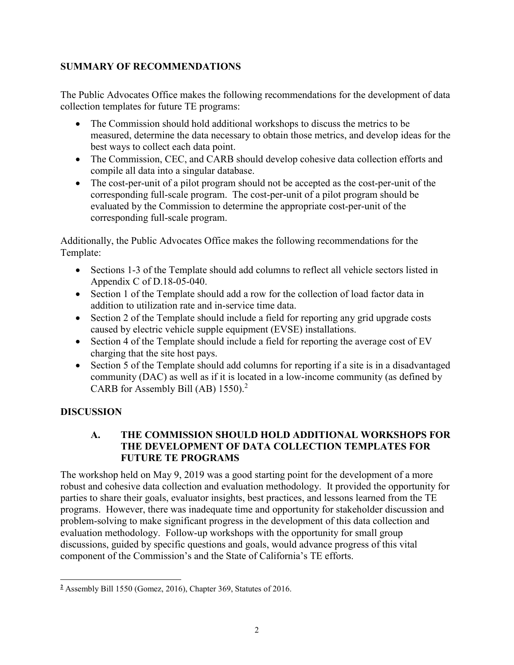## **SUMMARY OF RECOMMENDATIONS**

The Public Advocates Office makes the following recommendations for the development of data collection templates for future TE programs:

- The Commission should hold additional workshops to discuss the metrics to be measured, determine the data necessary to obtain those metrics, and develop ideas for the best ways to collect each data point.
- The Commission, CEC, and CARB should develop cohesive data collection efforts and compile all data into a singular database.
- The cost-per-unit of a pilot program should not be accepted as the cost-per-unit of the corresponding full-scale program. The cost-per-unit of a pilot program should be evaluated by the Commission to determine the appropriate cost-per-unit of the corresponding full-scale program.

Additionally, the Public Advocates Office makes the following recommendations for the Template:

- Sections 1-3 of the Template should add columns to reflect all vehicle sectors listed in Appendix C of D.18-05-040.
- Section 1 of the Template should add a row for the collection of load factor data in addition to utilization rate and in-service time data.
- Section 2 of the Template should include a field for reporting any grid upgrade costs caused by electric vehicle supple equipment (EVSE) installations.
- Section 4 of the Template should include a field for reporting the average cost of EV charging that the site host pays.
- Section 5 of the Template should add columns for reporting if a site is in a disadvantaged community (DAC) as well as if it is located in a low-income community (as defined by CARB for Assembly Bill (AB) 1550).<sup>2</sup>

# **DISCUSSION**

### **A. THE COMMISSION SHOULD HOLD ADDITIONAL WORKSHOPS FOR THE DEVELOPMENT OF DATA COLLECTION TEMPLATES FOR FUTURE TE PROGRAMS**

The workshop held on May 9, 2019 was a good starting point for the development of a more robust and cohesive data collection and evaluation methodology. It provided the opportunity for parties to share their goals, evaluator insights, best practices, and lessons learned from the TE programs. However, there was inadequate time and opportunity for stakeholder discussion and problem-solving to make significant progress in the development of this data collection and evaluation methodology. Follow-up workshops with the opportunity for small group discussions, guided by specific questions and goals, would advance progress of this vital component of the Commission's and the State of California's TE efforts.

 **2** Assembly Bill 1550 (Gomez, 2016), Chapter 369, Statutes of 2016.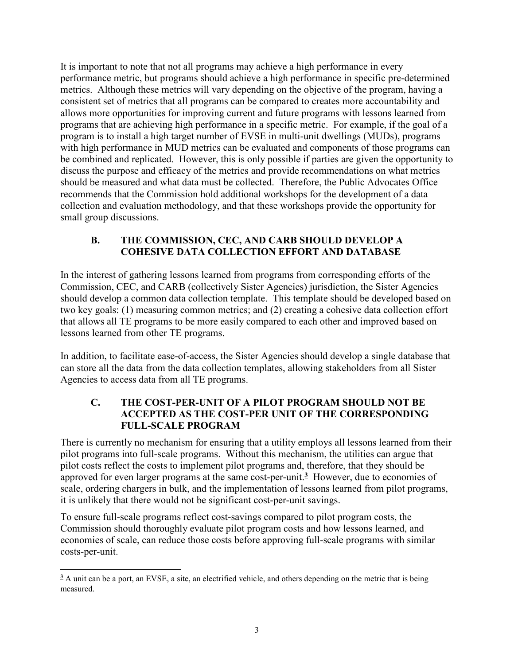It is important to note that not all programs may achieve a high performance in every performance metric, but programs should achieve a high performance in specific pre-determined metrics. Although these metrics will vary depending on the objective of the program, having a consistent set of metrics that all programs can be compared to creates more accountability and allows more opportunities for improving current and future programs with lessons learned from programs that are achieving high performance in a specific metric. For example, if the goal of a program is to install a high target number of EVSE in multi-unit dwellings (MUDs), programs with high performance in MUD metrics can be evaluated and components of those programs can be combined and replicated. However, this is only possible if parties are given the opportunity to discuss the purpose and efficacy of the metrics and provide recommendations on what metrics should be measured and what data must be collected. Therefore, the Public Advocates Office recommends that the Commission hold additional workshops for the development of a data collection and evaluation methodology, and that these workshops provide the opportunity for small group discussions.

### **B. THE COMMISSION, CEC, AND CARB SHOULD DEVELOP A COHESIVE DATA COLLECTION EFFORT AND DATABASE**

In the interest of gathering lessons learned from programs from corresponding efforts of the Commission, CEC, and CARB (collectively Sister Agencies) jurisdiction, the Sister Agencies should develop a common data collection template. This template should be developed based on two key goals: (1) measuring common metrics; and (2) creating a cohesive data collection effort that allows all TE programs to be more easily compared to each other and improved based on lessons learned from other TE programs.

In addition, to facilitate ease-of-access, the Sister Agencies should develop a single database that can store all the data from the data collection templates, allowing stakeholders from all Sister Agencies to access data from all TE programs.

#### **C. THE COST-PER-UNIT OF A PILOT PROGRAM SHOULD NOT BE ACCEPTED AS THE COST-PER UNIT OF THE CORRESPONDING FULL-SCALE PROGRAM**

There is currently no mechanism for ensuring that a utility employs all lessons learned from their pilot programs into full-scale programs. Without this mechanism, the utilities can argue that pilot costs reflect the costs to implement pilot programs and, therefore, that they should be approved for even larger programs at the same cost-per-unit.**<sup>3</sup>** However, due to economies of scale, ordering chargers in bulk, and the implementation of lessons learned from pilot programs, it is unlikely that there would not be significant cost-per-unit savings.

To ensure full-scale programs reflect cost-savings compared to pilot program costs, the Commission should thoroughly evaluate pilot program costs and how lessons learned, and economies of scale, can reduce those costs before approving full-scale programs with similar costs-per-unit.

<sup>-</sup>**3** A unit can be a port, an EVSE, a site, an electrified vehicle, and others depending on the metric that is being measured.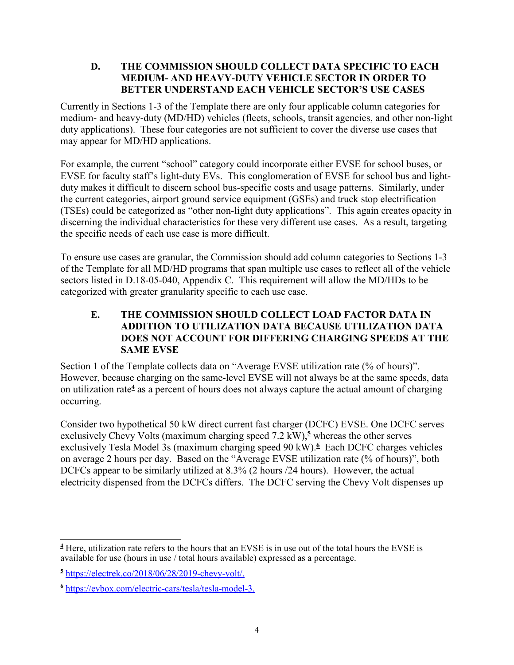#### **D. THE COMMISSION SHOULD COLLECT DATA SPECIFIC TO EACH MEDIUM- AND HEAVY-DUTY VEHICLE SECTOR IN ORDER TO BETTER UNDERSTAND EACH VEHICLE SECTOR'S USE CASES**

Currently in Sections 1-3 of the Template there are only four applicable column categories for medium- and heavy-duty (MD/HD) vehicles (fleets, schools, transit agencies, and other non-light duty applications). These four categories are not sufficient to cover the diverse use cases that may appear for MD/HD applications.

For example, the current "school" category could incorporate either EVSE for school buses, or EVSE for faculty staff's light-duty EVs. This conglomeration of EVSE for school bus and lightduty makes it difficult to discern school bus-specific costs and usage patterns. Similarly, under the current categories, airport ground service equipment (GSEs) and truck stop electrification (TSEs) could be categorized as "other non-light duty applications". This again creates opacity in discerning the individual characteristics for these very different use cases. As a result, targeting the specific needs of each use case is more difficult.

To ensure use cases are granular, the Commission should add column categories to Sections 1-3 of the Template for all MD/HD programs that span multiple use cases to reflect all of the vehicle sectors listed in D.18-05-040, Appendix C. This requirement will allow the MD/HDs to be categorized with greater granularity specific to each use case.

#### **E. THE COMMISSION SHOULD COLLECT LOAD FACTOR DATA IN ADDITION TO UTILIZATION DATA BECAUSE UTILIZATION DATA DOES NOT ACCOUNT FOR DIFFERING CHARGING SPEEDS AT THE SAME EVSE**

Section 1 of the Template collects data on "Average EVSE utilization rate (% of hours)". However, because charging on the same-level EVSE will not always be at the same speeds, data on utilization rate**<sup>4</sup>** as a percent of hours does not always capture the actual amount of charging occurring.

Consider two hypothetical 50 kW direct current fast charger (DCFC) EVSE. One DCFC serves exclusively Chevy Volts (maximum charging speed 7.2 kW),<sup>5</sup> whereas the other serves exclusively Tesla Model 3s (maximum charging speed 90 kW).**<sup>6</sup>** Each DCFC charges vehicles on average 2 hours per day. Based on the "Average EVSE utilization rate (% of hours)", both DCFCs appear to be similarly utilized at 8.3% (2 hours /24 hours). However, the actual electricity dispensed from the DCFCs differs. The DCFC serving the Chevy Volt dispenses up

<sup>-</sup>**4** Here, utilization rate refers to the hours that an EVSE is in use out of the total hours the EVSE is available for use (hours in use / total hours available) expressed as a percentage.

**<sup>5</sup>** https://electrek.co/2018/06/28/2019-chevy-volt/.

**<sup>6</sup>** https://evbox.com/electric-cars/tesla/tesla-model-3.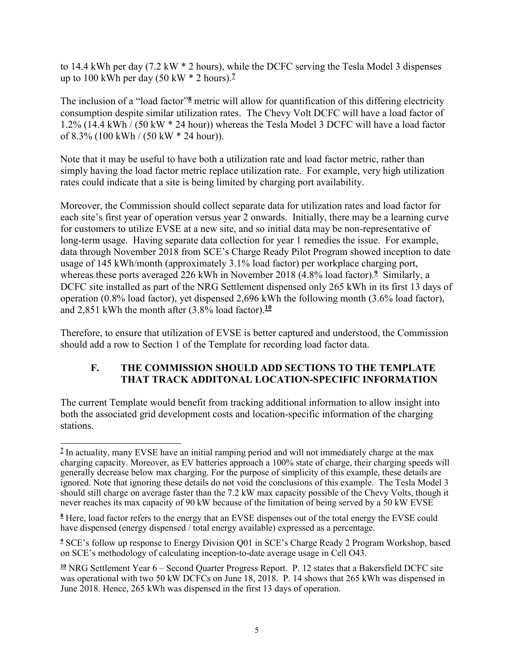to 14.4 kWh per day (7.2 kW \* 2 hours), while the DCFC serving the Tesla Model 3 dispenses up to 100 kWh per day  $(50 \text{ kW} * 2 \text{ hours})$ .<sup>7</sup>

The inclusion of a "load factor"**<sup>8</sup>** metric will allow for quantification of this differing electricity consumption despite similar utilization rates. The Chevy Volt DCFC will have a load factor of 1.2% (14.4 kWh / (50 kW \* 24 hour)) whereas the Tesla Model 3 DCFC will have a load factor of 8.3% (100 kWh / (50 kW \* 24 hour)).

Note that it may be useful to have both a utilization rate and load factor metric, rather than simply having the load factor metric replace utilization rate. For example, very high utilization rates could indicate that a site is being limited by charging port availability.

Moreover, the Commission should collect separate data for utilization rates and load factor for each site's first year of operation versus year 2 onwards. Initially, there may be a learning curve for customers to utilize EVSE at a new site, and so initial data may be non-representative of long-term usage. Having separate data collection for year 1 remedies the issue. For example, data through November 2018 from SCE's Charge Ready Pilot Program showed inception to date usage of 145 kWh/month (approximately 3.1% load factor) per workplace charging port, whereas these ports averaged 226 kWh in November 2018 (4.8% load factor).**<sup>9</sup>** Similarly, a DCFC site installed as part of the NRG Settlement dispensed only 265 kWh in its first 13 days of operation (0.8% load factor), yet dispensed 2,696 kWh the following month (3.6% load factor), and 2,851 kWh the month after (3.8% load factor).**<sup>10</sup>**

Therefore, to ensure that utilization of EVSE is better captured and understood, the Commission should add a row to Section 1 of the Template for recording load factor data.

### **F. THE COMMISSION SHOULD ADD SECTIONS TO THE TEMPLATE THAT TRACK ADDITONAL LOCATION-SPECIFIC INFORMATION**

The current Template would benefit from tracking additional information to allow insight into both the associated grid development costs and location-specific information of the charging stations.

<sup>-</sup><sup>7</sup> In actuality, many EVSE have an initial ramping period and will not immediately charge at the max charging capacity. Moreover, as EV batteries approach a 100% state of charge, their charging speeds will generally decrease below max charging. For the purpose of simplicity of this example, these details are ignored. Note that ignoring these details do not void the conclusions of this example. The Tesla Model 3 should still charge on average faster than the 7.2 kW max capacity possible of the Chevy Volts, though it never reaches its max capacity of 90 kW because of the limitation of being served by a 50 kW EVSE

**<sup>8</sup>** Here, load factor refers to the energy that an EVSE dispenses out of the total energy the EVSE could have dispensed (energy dispensed / total energy available) expressed as a percentage.

**<sup>9</sup>** SCE's follow up response to Energy Division Q01 in SCE's Charge Ready 2 Program Workshop, based on SCE's methodology of calculating inception-to-date average usage in Cell O43.

**<sup>10</sup>** NRG Settlement Year 6 – Second Quarter Progress Report. P. 12 states that a Bakersfield DCFC site was operational with two 50 kW DCFCs on June 18, 2018. P. 14 shows that 265 kWh was dispensed in June 2018. Hence, 265 kWh was dispensed in the first 13 days of operation.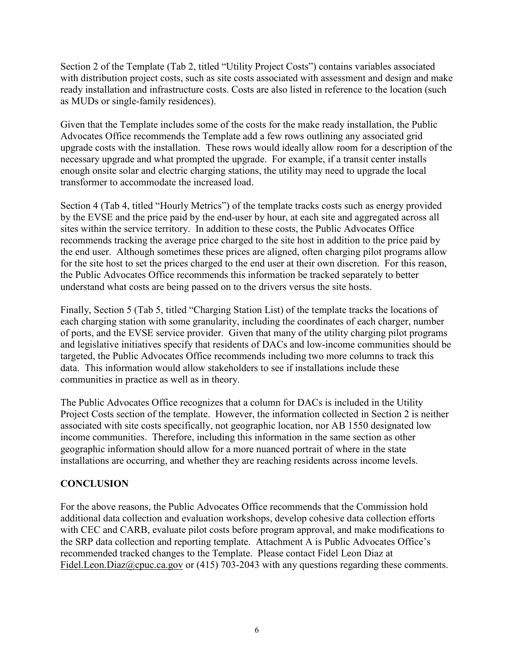Section 2 of the Template (Tab 2, titled "Utility Project Costs") contains variables associated with distribution project costs, such as site costs associated with assessment and design and make ready installation and infrastructure costs. Costs are also listed in reference to the location (such as MUDs or single-family residences).

Given that the Template includes some of the costs for the make ready installation, the Public Advocates Office recommends the Template add a few rows outlining any associated grid upgrade costs with the installation. These rows would ideally allow room for a description of the necessary upgrade and what prompted the upgrade. For example, if a transit center installs enough onsite solar and electric charging stations, the utility may need to upgrade the local transformer to accommodate the increased load.

Section 4 (Tab 4, titled "Hourly Metrics") of the template tracks costs such as energy provided by the EVSE and the price paid by the end-user by hour, at each site and aggregated across all sites within the service territory. In addition to these costs, the Public Advocates Office recommends tracking the average price charged to the site host in addition to the price paid by the end user. Although sometimes these prices are aligned, often charging pilot programs allow for the site host to set the prices charged to the end user at their own discretion. For this reason, the Public Advocates Office recommends this information be tracked separately to better understand what costs are being passed on to the drivers versus the site hosts.

Finally, Section 5 (Tab 5, titled "Charging Station List) of the template tracks the locations of each charging station with some granularity, including the coordinates of each charger, number of ports, and the EVSE service provider. Given that many of the utility charging pilot programs and legislative initiatives specify that residents of DACs and low-income communities should be targeted, the Public Advocates Office recommends including two more columns to track this data. This information would allow stakeholders to see if installations include these communities in practice as well as in theory.

The Public Advocates Office recognizes that a column for DACs is included in the Utility Project Costs section of the template. However, the information collected in Section 2 is neither associated with site costs specifically, not geographic location, nor AB 1550 designated low income communities. Therefore, including this information in the same section as other geographic information should allow for a more nuanced portrait of where in the state installations are occurring, and whether they are reaching residents across income levels.

### **CONCLUSION**

For the above reasons, the Public Advocates Office recommends that the Commission hold additional data collection and evaluation workshops, develop cohesive data collection efforts with CEC and CARB, evaluate pilot costs before program approval, and make modifications to the SRP data collection and reporting template. Attachment A is Public Advocates Office's recommended tracked changes to the Template. Please contact Fidel Leon Diaz at Fidel.Leon.Diaz@cpuc.ca.gov or (415) 703-2043 with any questions regarding these comments.